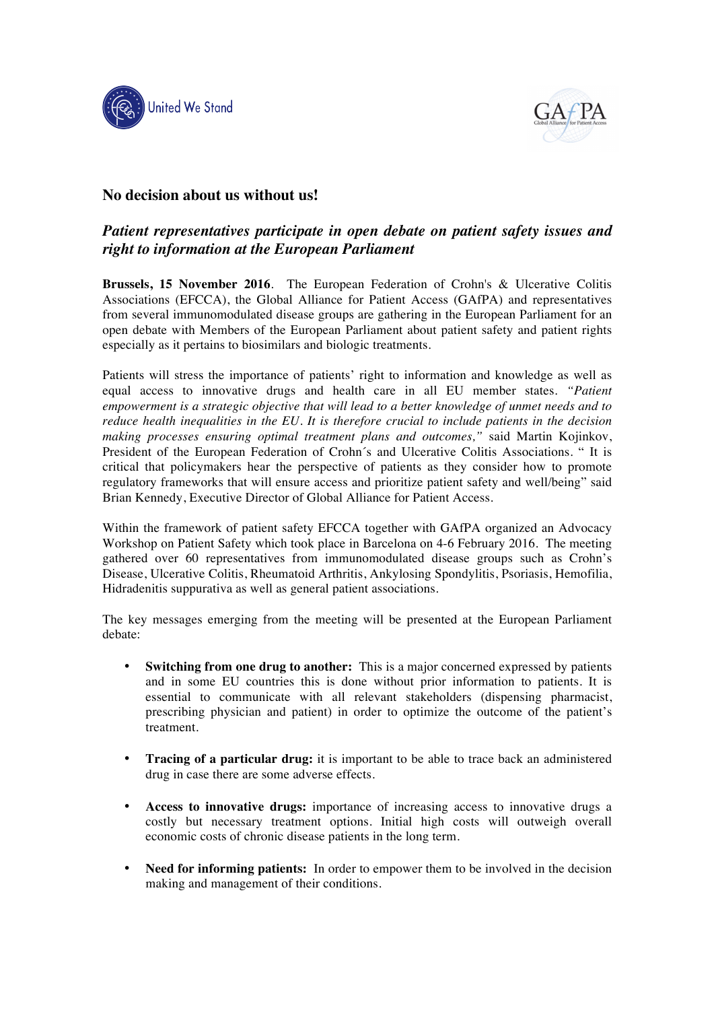



## **No decision about us without us!**

## *Patient representatives participate in open debate on patient safety issues and right to information at the European Parliament*

**Brussels, 15 November 2016**. The European Federation of Crohn's & Ulcerative Colitis Associations (EFCCA), the Global Alliance for Patient Access (GAfPA) and representatives from several immunomodulated disease groups are gathering in the European Parliament for an open debate with Members of the European Parliament about patient safety and patient rights especially as it pertains to biosimilars and biologic treatments.

Patients will stress the importance of patients' right to information and knowledge as well as equal access to innovative drugs and health care in all EU member states. *"Patient empowerment is a strategic objective that will lead to a better knowledge of unmet needs and to reduce health inequalities in the EU. It is therefore crucial to include patients in the decision making processes ensuring optimal treatment plans and outcomes,"* said Martin Kojinkov, President of the European Federation of Crohn´s and Ulcerative Colitis Associations. " It is critical that policymakers hear the perspective of patients as they consider how to promote regulatory frameworks that will ensure access and prioritize patient safety and well/being" said Brian Kennedy, Executive Director of Global Alliance for Patient Access.

Within the framework of patient safety EFCCA together with GAfPA organized an Advocacy Workshop on Patient Safety which took place in Barcelona on 4-6 February 2016. The meeting gathered over 60 representatives from immunomodulated disease groups such as Crohn's Disease, Ulcerative Colitis, Rheumatoid Arthritis, Ankylosing Spondylitis, Psoriasis, Hemofilia, Hidradenitis suppurativa as well as general patient associations.

The key messages emerging from the meeting will be presented at the European Parliament debate:

- **Switching from one drug to another:** This is a major concerned expressed by patients and in some EU countries this is done without prior information to patients. It is essential to communicate with all relevant stakeholders (dispensing pharmacist, prescribing physician and patient) in order to optimize the outcome of the patient's treatment.
- **Tracing of a particular drug:** it is important to be able to trace back an administered drug in case there are some adverse effects.
- **Access to innovative drugs:** importance of increasing access to innovative drugs a costly but necessary treatment options. Initial high costs will outweigh overall economic costs of chronic disease patients in the long term.
- **Need for informing patients:** In order to empower them to be involved in the decision making and management of their conditions.